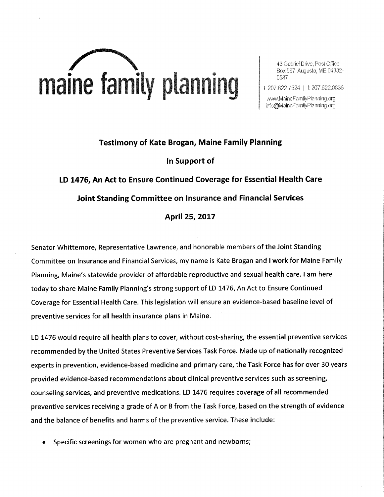

43 Gabriel Drive, Post Office Box 587 Augusta, ME 04332-0587

 $\mathcal{U}$ 

 $\bigcup$  it 207.622.7524 | E 207.622.083

www.MaineFamilyPlanning.org info@MaineFamilyPlanning.org

## Testimony of Kate Brogan, Maine Family Planning In Support of

LD 1476, An Act to Ensure Continued Coverage for Essential Health Care Joint Standing Committee on lnsurance and Financial Services April 25, 2017

Senator Whittemore, Representative Lawrence, and honorable members of the Joint Standing Committee on lnsurance and Financial Services, my name is Kate Brogan and I work for Maine Family Planning, Maine's statewide provider of affordable reproductive and sexual health care. I am here today to share Maine Family Planning's strong support of LD 1476, An Act to Ensure Continued Coverage for Essential Health Care. This legislation will ensure an evidence-based baseline level of preventive services for all health insurance plans in Maine.

LD 1476 would require all health plans to cover, without cost-sharing, the essential preventive services recommended by the United States Preventive Services Task Force. Made up of nationally recognized experts in prevention, evidence-based medicine and primary care, the Task Force has for over 30 years provided evidence-based recommendations about clinical preventive services such as screening, counseling services, and preventive medications. LD 1476 requires coverage of all recommended preventive services receiving a grade of A or B from the Task Force, based on the strength of evidence and the balance of benefits and harms of the preventive service. These include:

Specific screenings for women who are pregnant and newborns;